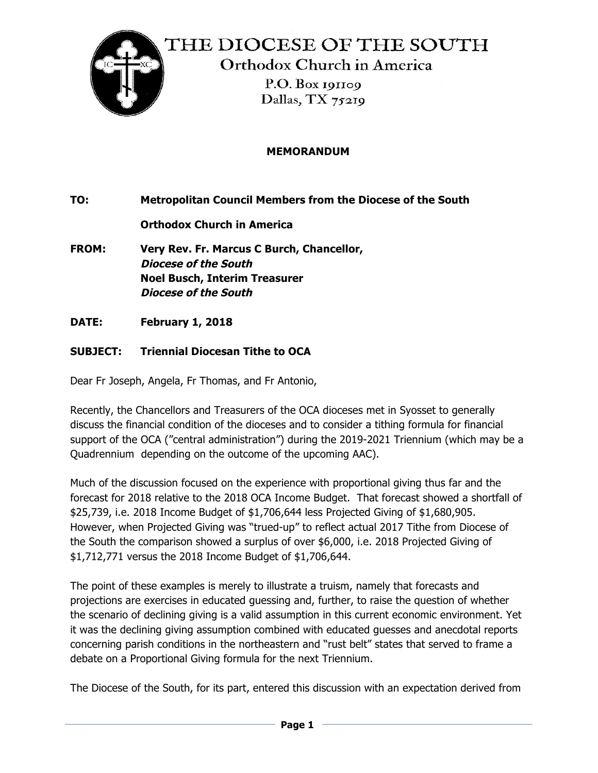

## **MEMORANDUM**

**TO: Metropolitan Council Members from the Diocese of the South**

**Orthodox Church in America**

- **FROM: Very Rev. Fr. Marcus C Burch, Chancellor, Diocese of the South Noel Busch, Interim Treasurer Diocese of the South**
- **DATE: February 1, 2018**

## **SUBJECT: Triennial Diocesan Tithe to OCA**

Dear Fr Joseph, Angela, Fr Thomas, and Fr Antonio,

Recently, the Chancellors and Treasurers of the OCA dioceses met in Syosset to generally discuss the financial condition of the dioceses and to consider a tithing formula for financial support of the OCA ("central administration") during the 2019-2021 Triennium (which may be a Quadrennium depending on the outcome of the upcoming AAC).

Much of the discussion focused on the experience with proportional giving thus far and the forecast for 2018 relative to the 2018 OCA Income Budget. That forecast showed a shortfall of \$25,739, i.e. 2018 Income Budget of \$1,706,644 less Projected Giving of \$1,680,905. However, when Projected Giving was "trued-up" to reflect actual 2017 Tithe from Diocese of the South the comparison showed a surplus of over \$6,000, i.e. 2018 Projected Giving of \$1,712,771 versus the 2018 Income Budget of \$1,706,644.

The point of these examples is merely to illustrate a truism, namely that forecasts and projections are exercises in educated guessing and, further, to raise the question of whether the scenario of declining giving is a valid assumption in this current economic environment. Yet it was the declining giving assumption combined with educated guesses and anecdotal reports concerning parish conditions in the northeastern and "rust belt" states that served to frame a debate on a Proportional Giving formula for the next Triennium.

The Diocese of the South, for its part, entered this discussion with an expectation derived from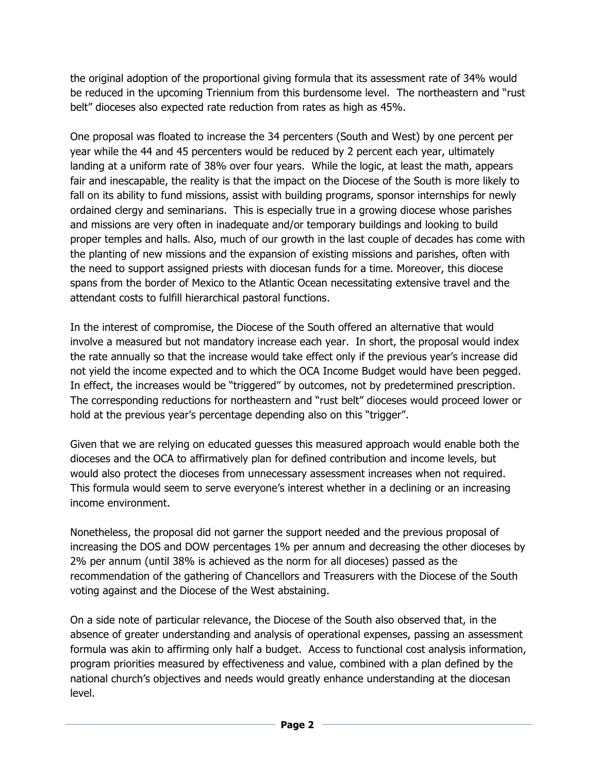the original adoption of the proportional giving formula that its assessment rate of 34% would be reduced in the upcoming Triennium from this burdensome level. The northeastern and "rust belt" dioceses also expected rate reduction from rates as high as 45%.

One proposal was floated to increase the 34 percenters (South and West) by one percent per year while the 44 and 45 percenters would be reduced by 2 percent each year, ultimately landing at a uniform rate of 38% over four years. While the logic, at least the math, appears fair and inescapable, the reality is that the impact on the Diocese of the South is more likely to fall on its ability to fund missions, assist with building programs, sponsor internships for newly ordained clergy and seminarians. This is especially true in a growing diocese whose parishes and missions are very often in inadequate and/or temporary buildings and looking to build proper temples and halls. Also, much of our growth in the last couple of decades has come with the planting of new missions and the expansion of existing missions and parishes, often with the need to support assigned priests with diocesan funds for a time. Moreover, this diocese spans from the border of Mexico to the Atlantic Ocean necessitating extensive travel and the attendant costs to fulfill hierarchical pastoral functions.

In the interest of compromise, the Diocese of the South offered an alternative that would involve a measured but not mandatory increase each year. In short, the proposal would index the rate annually so that the increase would take effect only if the previous year's increase did not yield the income expected and to which the OCA Income Budget would have been pegged. In effect, the increases would be "triggered" by outcomes, not by predetermined prescription. The corresponding reductions for northeastern and "rust belt" dioceses would proceed lower or hold at the previous year's percentage depending also on this "trigger".

Given that we are relying on educated guesses this measured approach would enable both the dioceses and the OCA to affirmatively plan for defined contribution and income levels, but would also protect the dioceses from unnecessary assessment increases when not required. This formula would seem to serve everyone's interest whether in a declining or an increasing income environment.

Nonetheless, the proposal did not garner the support needed and the previous proposal of increasing the DOS and DOW percentages 1% per annum and decreasing the other dioceses by 2% per annum (until 38% is achieved as the norm for all dioceses) passed as the recommendation of the gathering of Chancellors and Treasurers with the Diocese of the South voting against and the Diocese of the West abstaining.

On a side note of particular relevance, the Diocese of the South also observed that, in the absence of greater understanding and analysis of operational expenses, passing an assessment formula was akin to affirming only half a budget. Access to functional cost analysis information, program priorities measured by effectiveness and value, combined with a plan defined by the national church's objectives and needs would greatly enhance understanding at the diocesan level.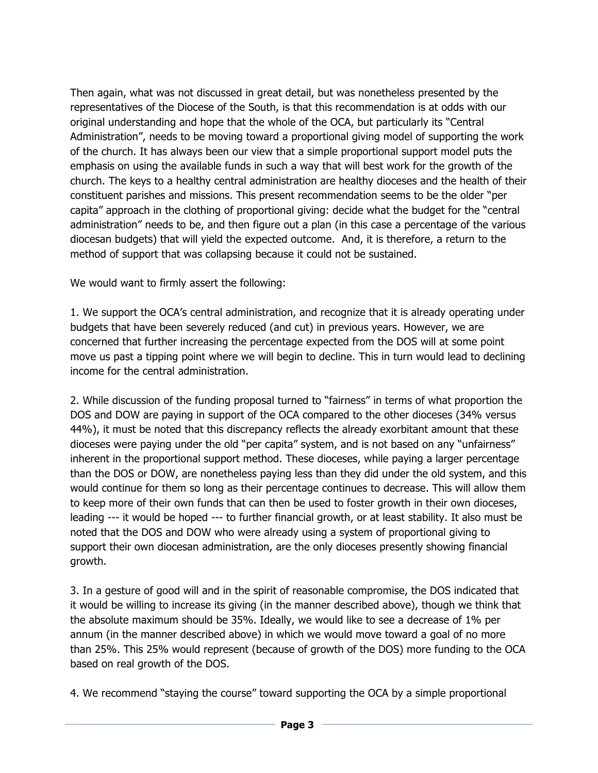Then again, what was not discussed in great detail, but was nonetheless presented by the representatives of the Diocese of the South, is that this recommendation is at odds with our original understanding and hope that the whole of the OCA, but particularly its "Central Administration", needs to be moving toward a proportional giving model of supporting the work of the church. It has always been our view that a simple proportional support model puts the emphasis on using the available funds in such a way that will best work for the growth of the church. The keys to a healthy central administration are healthy dioceses and the health of their constituent parishes and missions. This present recommendation seems to be the older "per capita" approach in the clothing of proportional giving: decide what the budget for the "central administration" needs to be, and then figure out a plan (in this case a percentage of the various diocesan budgets) that will yield the expected outcome. And, it is therefore, a return to the method of support that was collapsing because it could not be sustained.

We would want to firmly assert the following:

1. We support the OCA's central administration, and recognize that it is already operating under budgets that have been severely reduced (and cut) in previous years. However, we are concerned that further increasing the percentage expected from the DOS will at some point move us past a tipping point where we will begin to decline. This in turn would lead to declining income for the central administration.

2. While discussion of the funding proposal turned to "fairness" in terms of what proportion the DOS and DOW are paying in support of the OCA compared to the other dioceses (34% versus 44%), it must be noted that this discrepancy reflects the already exorbitant amount that these dioceses were paying under the old "per capita" system, and is not based on any "unfairness" inherent in the proportional support method. These dioceses, while paying a larger percentage than the DOS or DOW, are nonetheless paying less than they did under the old system, and this would continue for them so long as their percentage continues to decrease. This will allow them to keep more of their own funds that can then be used to foster growth in their own dioceses, leading --- it would be hoped --- to further financial growth, or at least stability. It also must be noted that the DOS and DOW who were already using a system of proportional giving to support their own diocesan administration, are the only dioceses presently showing financial growth.

3. In a gesture of good will and in the spirit of reasonable compromise, the DOS indicated that it would be willing to increase its giving (in the manner described above), though we think that the absolute maximum should be 35%. Ideally, we would like to see a decrease of 1% per annum (in the manner described above) in which we would move toward a goal of no more than 25%. This 25% would represent (because of growth of the DOS) more funding to the OCA based on real growth of the DOS.

4. We recommend "staying the course" toward supporting the OCA by a simple proportional